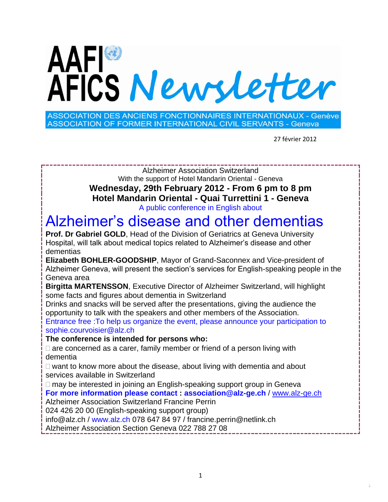# AAFI®<br>AFICS Newsletter

**ASSOCIATION DES ANCIENS FONCTIONNAIRES INTERNATIONAUX - Genève ASSOCIATION OF FORMER INTERNATIONAL CIVIL SERVANTS - Geneva** 

27 février 2012

Alzheimer Association Switzerland With the support of Hotel Mandarin Oriental - Geneva **Wednesday, 29th February 2012 - From 6 pm to 8 pm Hotel Mandarin Oriental - Quai Turrettini 1 - Geneva** A public conference in English about

# Alzheimer's disease and other dementias

**Prof. Dr Gabriel GOLD**, Head of the Division of Geriatrics at Geneva University Hospital, will talk about medical topics related to Alzheimer's disease and other dementias

**Elizabeth BOHLER-GOODSHIP**, Mayor of Grand-Saconnex and Vice-president of Alzheimer Geneva, will present the section's services for English-speaking people in the Geneva area

**Birgitta MARTENSSON**, Executive Director of Alzheimer Switzerland, will highlight some facts and figures about dementia in Switzerland

Drinks and snacks will be served after the presentations, giving the audience the opportunity to talk with the speakers and other members of the Association.

Entrance free :To help us organize the event, please announce your participation to sophie.courvoisier@alz.ch

**The conference is intended for persons who:**

 $\Box$  are concerned as a carer, family member or friend of a person living with dementia

 $\Box$  want to know more about the disease, about living with dementia and about services available in Switzerland

□ may be interested in joining an English-speaking support group in Geneva **For more information please contact : association@alz-ge.ch** / [www.alz-ge.ch](http://www.alz-ge.ch/)

Alzheimer Association Switzerland Francine Perrin

024 426 20 00 (English-speaking support group)

info@alz.ch / www.alz.ch 078 647 84 97 / francine.perrin@netlink.ch

Alzheimer Association Section Geneva 022 788 27 08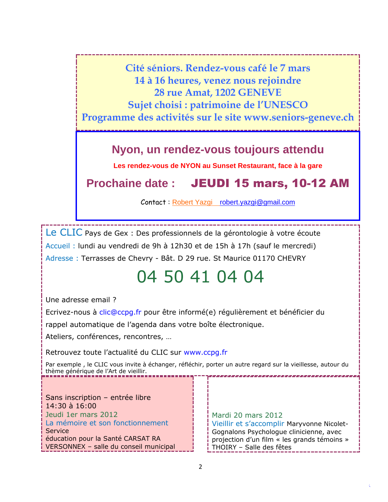**Cité séniors. Rendez-vous café le 7 mars 14 à 16 heures, venez nous rejoindre 28 rue Amat, 1202 GENEVE Sujet choisi : patrimoine de l'UNESCO Programme des activités sur le site www.seniors-geneve.ch**

### **Nyon, un rendez-vous toujours attendu**

**Les rendez-vous de NYON au Sunset Restaurant, face à la gare**

**Prochaine date :** JEUDI 15 mars, 10-12 AM

Contact : Robert Yazgi [robert.yazgi@gmail.com](mailto:robert.yazgi@gmail.com)

Le CLIC Pays de Gex : Des professionnels de la gérontologie à votre écoute Accueil : lundi au vendredi de 9h à 12h30 et de 15h à 17h (sauf le mercredi) Adresse : Terrasses de Chevry - Bât. D 29 rue. St Maurice 01170 CHEVRY

# 04 50 41 04 04

Une adresse email ?

Ecrivez-nous à clic@ccpg.fr pour être informé(e) régulièrement et bénéficier du

rappel automatique de l'agenda dans votre boîte électronique.

Ateliers, conférences, rencontres, …

Retrouvez toute l'actualité du CLIC sur www.ccpg.fr

Par exemple , le CLIC vous invite à échanger, réfléchir, porter un autre regard sur la vieillesse, autour du thème générique de l'Art de vieillir.

Sans inscription – entrée libre 14:30 à 16:00 Jeudi 1er mars 2012 La mémoire et son fonctionnement **Service** éducation pour la Santé CARSAT RA VERSONNEX – salle du conseil municipal

Mardi 20 mars 2012 Vieillir et s'accomplir Maryvonne Nicolet-Gognalons Psychologue clinicienne, avec projection d'un film « les grands témoins » THOIRY – Salle des fêtes